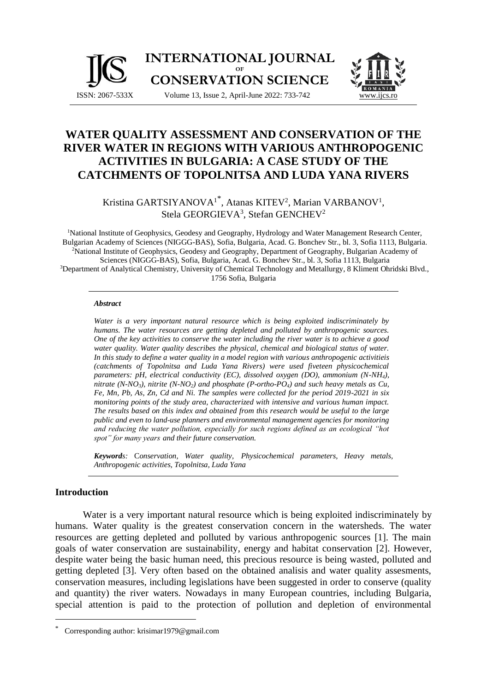

# **WATER QUALITY ASSESSMENT AND CONSERVATION OF THE RIVER WATER IN REGIONS WITH VARIOUS ANTHROPOGENIC ACTIVITIES IN BULGARIA: A CASE STUDY OF THE CATCHMENTS OF TOPOLNITSA AND LUDA YANA RIVERS**

Kristina GARTSIYANOVA<sup>1\*</sup>, Atanas KITEV<sup>2</sup>, Marian VARBANOV<sup>1</sup>, Stela GEORGIEVA<sup>3</sup>, Stefan GENCHEV<sup>2</sup>

<sup>1</sup>National Institute of Geophysics, Geodesy and Geography, Hydrology and Water Management Research Center, Bulgarian Academy of Sciences (NIGGG-BAS), Sofia, Bulgaria, Acad. G. Bonchev Str., bl. 3, Sofia 1113, Bulgaria. <sup>2</sup>National Institute of Geophysics, Geodesy and Geography, Department of Geography, Bulgarian Academy of Sciences (NIGGG-BAS), Sofia, Bulgaria, Acad. G. Bonchev Str., bl. 3, Sofia 1113, Bulgaria <sup>3</sup>Department of Analytical Chemistry, University of Chemical Technology and Metallurgy, 8 Kliment Ohridski Blvd., 1756 Sofia, Bulgaria

#### *Abstract*

*Water is a very important natural resource which is being exploited indiscriminately by humans. The water resources are getting depleted and polluted by anthropogenic sources. One of the key activities to conserve the water including the river water is to achieve a good water quality. Water quality describes the physical, chemical and biological status of water. In this study to define a water quality in a model region with various anthropogenic activitieis (catchments of Topolnitsa and Luda Yana Rivers) were used fiveteen physicochemical parameters: pH, electrical conductivity (EC), dissolved oxygen (DO), ammonium (N-NH4), nitrate (N-NO3), nitrite (N-NO2) and phosphate (P-ortho-PO4) and such heavy metals as Cu, Fe, Mn, Pb, As, Zn, Cd and Ni. The samples were collected for the period 2019-2021 in six monitoring points of the study area, characterized with intensive and various human impact. The results based on this index and obtained from this research would be useful to the large public and even to land-use planners and environmental management agencies for monitoring and reducing the water pollution, especially for such regions defined as an ecological "hot spot" for many years and their future conservation.*

*Keywords:* C*onservation, Water quality, Physicochemical parameters, Heavy metals, Anthropogenic activities, Topolnitsa, Luda Yana*

#### **Introduction**

Water is a very important natural resource which is being exploited indiscriminately by humans. Water quality is the greatest conservation concern in the watersheds. The water resources are getting depleted and polluted by various anthropogenic sources [1]. The main goals of water conservation are sustainability, energy and habitat conservation [2]. However, despite water being the basic human need, this precious resource is being wasted, polluted and getting depleted [3]. Very often based on the obtained analisis and water quality assesments, conservation measures, including legislations have been suggested in order to conserve (quality and quantity) the river waters. Nowadays in many European countries, including Bulgaria, special attention is paid to the protection of pollution and depletion of environmental

Corresponding author: krisimar1979@gmail.com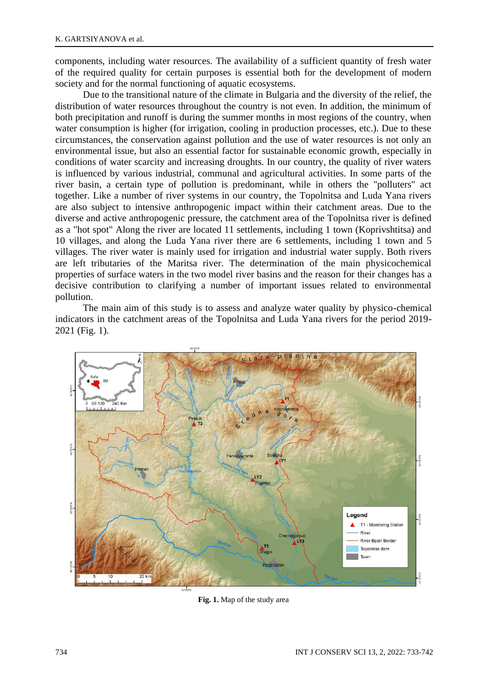components, including water resources. The availability of a sufficient quantity of fresh water of the required quality for certain purposes is essential both for the development of modern society and for the normal functioning of aquatic ecosystems.

Due to the transitional nature of the climate in Bulgaria and the diversity of the relief, the distribution of water resources throughout the country is not even. In addition, the minimum of both precipitation and runoff is during the summer months in most regions of the country, when water consumption is higher (for irrigation, cooling in production processes, etc.). Due to these circumstances, the conservation against pollution and the use of water resources is not only an environmental issue, but also an essential factor for sustainable economic growth, especially in conditions of water scarcity and increasing droughts. In our country, the quality of river waters is influenced by various industrial, communal and agricultural activities. In some parts of the river basin, a certain type of pollution is predominant, while in others the "polluters" act together. Like a number of river systems in our country, the Topolnitsa and Luda Yana rivers are also subject to intensive anthropogenic impact within their catchment areas. Due to the diverse and active anthropogenic pressure, the catchment area of the Topolnitsa river is defined as a "hot spot" Along the river are located 11 settlements, including 1 town (Koprivshtitsa) and 10 villages, and along the Luda Yana river there are 6 settlements, including 1 town and 5 villages. The river water is mainly used for irrigation and industrial water supply. Both rivers are left tributaries of the Maritsa river. The determination of the main physicochemical properties of surface waters in the two model river basins and the reason for their changes has a decisive contribution to clarifying a number of important issues related to environmental pollution.

The main aim of this study is to assess and analyze water quality by physico-chemical indicators in the catchment areas of the Topolnitsa and Luda Yana rivers for the period 2019- 2021 (Fig. 1).



**Fig. 1.** Map of the study area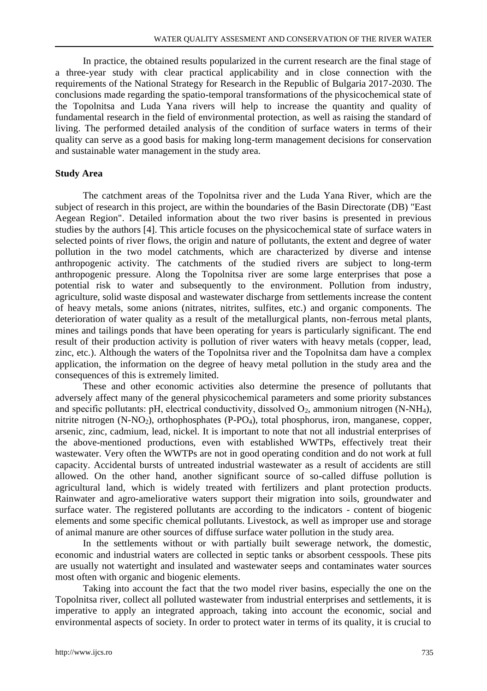In practice, the obtained results popularized in the current research are the final stage of a three-year study with clear practical applicability and in close connection with the requirements of the National Strategy for Research in the Republic of Bulgaria 2017-2030. The conclusions made regarding the spatio-temporal transformations of the physicochemical state of the Topolnitsa and Luda Yana rivers will help to increase the quantity and quality of fundamental research in the field of environmental protection, as well as raising the standard of living. The performed detailed analysis of the condition of surface waters in terms of their quality can serve as a good basis for making long-term management decisions for conservation and sustainable water management in the study area.

#### **Study Area**

The catchment areas of the Topolnitsa river and the Luda Yana River, which are the subject of research in this project, are within the boundaries of the Basin Directorate (DB) "East Aegean Region". Detailed information about the two river basins is presented in previous studies by the authors [4]. This article focuses on the physicochemical state of surface waters in selected points of river flows, the origin and nature of pollutants, the extent and degree of water pollution in the two model catchments, which are characterized by diverse and intense anthropogenic activity. The catchments of the studied rivers are subject to long-term anthropogenic pressure. Along the Topolnitsa river are some large enterprises that pose a potential risk to water and subsequently to the environment. Pollution from industry, agriculture, solid waste disposal and wastewater discharge from settlements increase the content of heavy metals, some anions (nitrates, nitrites, sulfites, etc.) and organic components. The deterioration of water quality as a result of the metallurgical plants, non-ferrous metal plants, mines and tailings ponds that have been operating for years is particularly significant. The end result of their production activity is pollution of river waters with heavy metals (copper, lead, zinc, etc.). Although the waters of the Topolnitsa river and the Topolnitsa dam have a complex application, the information on the degree of heavy metal pollution in the study area and the consequences of this is extremely limited.

These and other economic activities also determine the presence of pollutants that adversely affect many of the general physicochemical parameters and some priority substances and specific pollutants: pH, electrical conductivity, dissolved  $O_2$ , ammonium nitrogen (N-NH<sub>4</sub>), nitrite nitrogen (N-NO2), orthophosphates (P-PO4), total phosphorus, iron, manganese, copper, arsenic, zinc, cadmium, lead, nickel. It is important to note that not all industrial enterprises of the above-mentioned productions, even with established WWTPs, effectively treat their wastewater. Very often the WWTPs are not in good operating condition and do not work at full capacity. Accidental bursts of untreated industrial wastewater as a result of accidents are still allowed. On the other hand, another significant source of so-called diffuse pollution is agricultural land, which is widely treated with fertilizers and plant protection products. Rainwater and agro-ameliorative waters support their migration into soils, groundwater and surface water. The registered pollutants are according to the indicators - content of biogenic elements and some specific chemical pollutants. Livestock, as well as improper use and storage of animal manure are other sources of diffuse surface water pollution in the study area.

In the settlements without or with partially built sewerage network, the domestic, economic and industrial waters are collected in septic tanks or absorbent cesspools. These pits are usually not watertight and insulated and wastewater seeps and contaminates water sources most often with organic and biogenic elements.

Taking into account the fact that the two model river basins, especially the one on the Topolnitsa river, collect all polluted wastewater from industrial enterprises and settlements, it is imperative to apply an integrated approach, taking into account the economic, social and environmental aspects of society. In order to protect water in terms of its quality, it is crucial to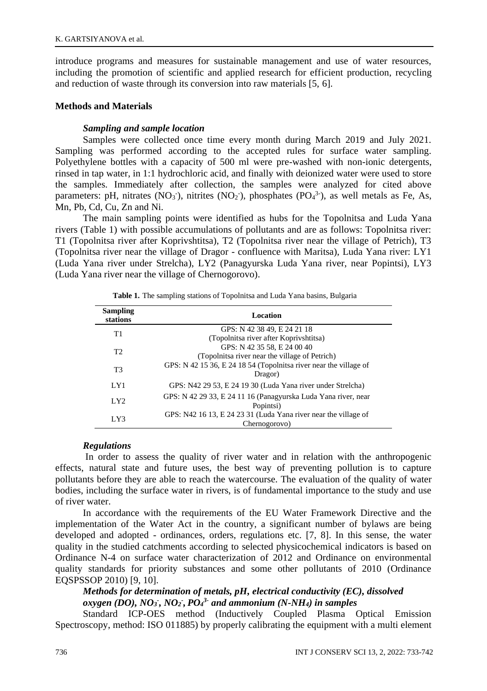introduce programs and measures for sustainable management and use of water resources, including the promotion of scientific and applied research for efficient production, recycling and reduction of waste through its conversion into raw materials [5, 6].

### **Methods and Materials**

### *Sampling and sample location*

Samples were collected once time every month during March 2019 and July 2021. Sampling was performed according to the accepted rules for surface water sampling. Polyethylene bottles with a capacity of 500 ml were pre-washed with non-ionic detergents, rinsed in tap water, in 1:1 hydrochloric acid, and finally with deionized water were used to store the samples. Immediately after collection, the samples were analyzed for cited above parameters: pH, nitrates (NO<sub>3</sub><sup>-</sup>), nitrites (NO<sub>2</sub><sup>-</sup>), phosphates (PO<sub>4</sub><sup>3-</sup>), as well metals as Fe, As, Mn, Pb, Cd, Cu, Zn and Ni.

The main sampling points were identified as hubs for the Topolnitsa and Luda Yana rivers (Table 1) with possible accumulations of pollutants and are as follows: Topolnitsa river: T1 (Topolnitsa river after Koprivshtitsa), T2 (Topolnitsa river near the village of Petrich), T3 (Topolnitsa river near the village of Dragor - confluence with Maritsa), Luda Yana river: LY1 (Luda Yana river under Strelcha), LY2 (Panagyurska Luda Yana river, near Popintsi), LY3 (Luda Yana river near the village of Chernogorovo).

| <b>Sampling</b><br>stations | Location                                                            |
|-----------------------------|---------------------------------------------------------------------|
| T1                          | GPS: N 42 38 49, E 24 21 18                                         |
|                             | (Topolnitsa river after Koprivshtitsa)                              |
| T <sub>2</sub>              | GPS: N 42 35 58, E 24 00 40                                         |
|                             | (Topolnitsa river near the village of Petrich)                      |
| T <sub>3</sub>              | GPS: $N$ 42 15 36, E 24 18 54 (Topolnitsa river near the village of |
|                             | Dragor)                                                             |
| LY1                         | GPS: N42 29 53, E 24 19 30 (Luda Yana river under Strelcha)         |
| LY2                         | GPS: N 42 29 33, E 24 11 16 (Panagyurska Luda Yana river, near      |
|                             | Popintsi)                                                           |
| LY3                         | GPS: N42 16 13, E 24 23 31 (Luda Yana river near the village of     |
|                             | Chernogorovo)                                                       |

**Table 1.** The sampling stations of Topolnitsa and Luda Yana basins, Bulgaria

### *Regulations*

In order to assess the quality of river water and in relation with the anthropogenic effects, natural state and future uses, the best way of preventing pollution is to capture pollutants before they are able to reach the watercourse. The evaluation of the quality of water bodies, including the surface water in rivers, is of fundamental importance to the study and use of river water.

In accordance with the requirements of the EU Water Framework Directive and the implementation of the Water Act in the country, a significant number of bylaws are being developed and adopted - ordinances, orders, regulations etc. [7, 8]. In this sense, the water quality in the studied catchments according to selected physicochemical indicators is based on Ordinance N-4 on surface water characterization of 2012 and Ordinance on environmental quality standards for priority substances and some other pollutants of 2010 (Ordinance EQSPSSOP 2010) [9, 10].

## *Methods for determination of metals, pH, electrical conductivity (EC), dissolved oxygen (DO), NO<sup>3</sup> - , NO<sup>2</sup> - , PO<sup>4</sup> 3- and ammonium (N-NH4) in samples*

Standard ICP-OES method (Inductively Coupled Plasma Optical Emission Spectroscopy, method: ISO 011885) by properly calibrating the equipment with a multi element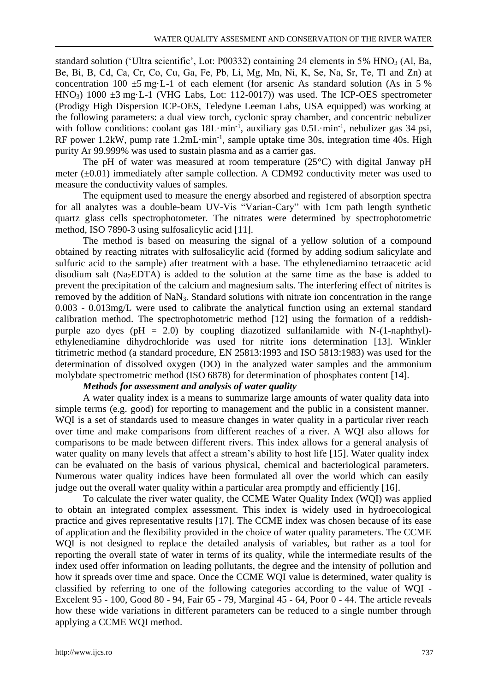standard solution ('Ultra scientific', Lot: P00332) containing 24 elements in 5% HNO<sub>3</sub> (Al, Ba, Bе, Bi, B, Cd, Ca, Cr, Co, Cu, Ga, Fe, Pb, Li, Mg, Mn, Ni, K, Se, Na, Sr, Te, Tl and Zn) at concentration 100  $\pm$ 5 mg·L-1 of each element (for arsenic As standard solution (As in 5 %) HNO<sub>3</sub>)  $1000 \pm 3$  mg·L-1 (VHG Labs, Lot: 112-0017)) was used. The ICP-OES spectrometer (Prodigy High Dispersion ICP-OES, Teledyne Leeman Labs, USA equipped) was working at the following parameters: a dual view torch, cyclonic spray chamber, and concentric nebulizer with follow conditions: coolant gas  $18L·min<sup>-1</sup>$ , auxiliary gas 0.5L·min<sup>-1</sup>, nebulizer gas 34 psi, RF power 1.2kW, pump rate 1.2mL·min<sup>-1</sup>, sample uptake time 30s, integration time 40s. High purity Ar 99.999% was used to sustain plasma and as a carrier gas.

The pH of water was measured at room temperature (25°C) with digital Janway pH meter  $(\pm 0.01)$  immediately after sample collection. A CDM92 conductivity meter was used to measure the conductivity values of samples.

The equipment used to measure the energy absorbed and registered of absorption spectra for all analytes was a double-beam UV-Vis "Varian-Cary" with 1cm path length synthetic quartz glass cells spectrophotometer. The nitrates were determined by spectrophotometric method, ISO 7890-3 using sulfosalicylic acid [11].

The method is based on measuring the signal of a yellow solution of a compound obtained by reacting nitrates with sulfosalicylic acid (formed by adding sodium salicylate and sulfuric acid to the sample) after treatment with a base. The ethylenediamino tetraacetic acid disodium salt (Na2EDTA) is added to the solution at the same time as the base is added to prevent the precipitation of the calcium and magnesium salts. The interfering effect of nitrites is removed by the addition of NaN3. Standard solutions with nitrate ion concentration in the range 0.003 - 0.013mg/L were used to calibrate the analytical function using an external standard calibration method. The spectrophotometric method [12] using the formation of a reddishpurple azo dyes (pH = 2.0) by coupling diazotized sulfanilamide with N-(1-naphthyl)ethylenediamine dihydrochloride was used for nitrite ions determination [13]. Winkler titrimetric method (a standard procedure, EN 25813:1993 and ISO 5813:1983) was used for the determination of dissolved oxygen (DO) in the analyzed water samples and the ammonium molybdate spectrometric method (ISO 6878) for determination of phosphates content [14].

### *Methods for assessment and analysis of water quality*

A water quality index is a means to summarize large amounts of water quality data into simple terms (e.g. good) for reporting to management and the public in a consistent manner. WQI is a set of standards used to measure changes in water quality in a particular river reach over time and make comparisons from different reaches of a river. A WQI also allows for comparisons to be made between different rivers. This index allows for a general analysis of water quality on many levels that affect a stream's ability to host life [15]. Water quality index can be evaluated on the basis of various physical, chemical and bacteriological parameters. Numerous water quality indices have been formulated all over the world which can easily judge out the overall water quality within a particular area promptly and efficiently [16].

To calculate the river water quality, the CCME Water Quality Index (WQI) was applied to obtain an integrated complex assessment. This index is widely used in hydroecological practice and gives representative results [17]. The CCME index was chosen because of its ease of application and the flexibility provided in the choice of water quality parameters. The CCME WQI is not designed to replace the detailed analysis of variables, but rather as a tool for reporting the overall state of water in terms of its quality, while the intermediate results of the index used offer information on leading pollutants, the degree and the intensity of pollution and how it spreads over time and space. Once the CCME WQI value is determined, water quality is classified by referring to one of the following categories according to the value of WQI - Excelent 95 - 100, Good 80 - 94, Fair 65 - 79, Marginal 45 - 64, Poor 0 - 44. The article reveals how these wide variations in different parameters can be reduced to a single number through applying a CCME WQI method.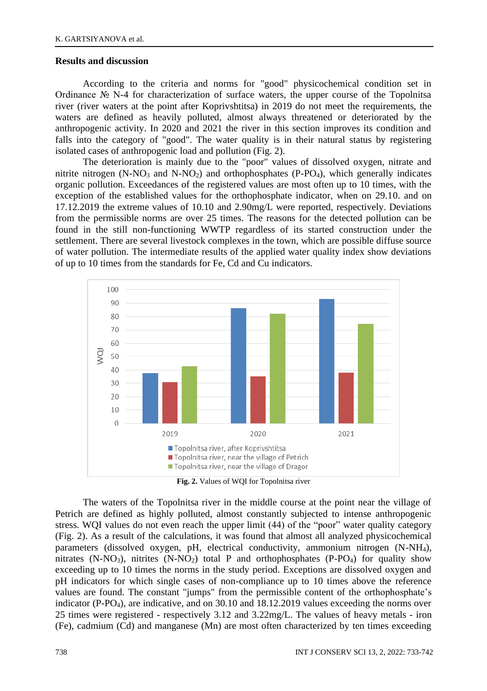### **Results and discussion**

According to the criteria and norms for "good" physicochemical condition set in Ordinance № N-4 for characterization of surface waters, the upper course of the Topolnitsa river (river waters at the point after Koprivshtitsa) in 2019 do not meet the requirements, the waters are defined as heavily polluted, almost always threatened or deteriorated by the anthropogenic activity. In 2020 and 2021 the river in this section improves its condition and falls into the category of "good". The water quality is in their natural status by registering isolated cases of anthropogenic load and pollution (Fig. 2).

The deterioration is mainly due to the "poor" values of dissolved oxygen, nitrate and nitrite nitrogen  $(N-NO<sub>3</sub>$  and  $N-NO<sub>2</sub>)$  and orthophosphates (P-PO<sub>4</sub>), which generally indicates organic pollution. Exceedances of the registered values are most often up to 10 times, with the exception of the established values for the orthophosphate indicator, when on 29.10. and on 17.12.2019 the extreme values of 10.10 and 2.90mg/L were reported, respectively. Deviations from the permissible norms are over 25 times. The reasons for the detected pollution can be found in the still non-functioning WWTP regardless of its started construction under the settlement. There are several livestock complexes in the town, which are possible diffuse source of water pollution. The intermediate results of the applied water quality index show deviations of up to 10 times from the standards for Fe, Cd and Cu indicators.



**Fig. 2.** Values of WQI for Topolnitsa river

The waters of the Topolnitsa river in the middle course at the point near the village of Petrich are defined as highly polluted, almost constantly subjected to intense anthropogenic stress. WQI values do not even reach the upper limit (44) of the "poor" water quality category (Fig. 2). As a result of the calculations, it was found that almost all analyzed physicochemical parameters (dissolved oxygen, pH, electrical conductivity, ammonium nitrogen (N-NH4), nitrates  $(N-NO<sub>3</sub>)$ , nitrites  $(N-NO<sub>2</sub>)$  total P and orthophosphates  $(P-PO<sub>4</sub>)$  for quality show exceeding up to 10 times the norms in the study period. Exceptions are dissolved oxygen and pH indicators for which single cases of non-compliance up to 10 times above the reference values are found. The constant "jumps" from the permissible content of the orthophosphate's indicator (P-PO4), are indicative, and on 30.10 and 18.12.2019 values exceeding the norms over 25 times were registered - respectively 3.12 and 3.22mg/L. The values of heavy metals - iron (Fe), cadmium (Cd) and manganese (Mn) are most often characterized by ten times exceeding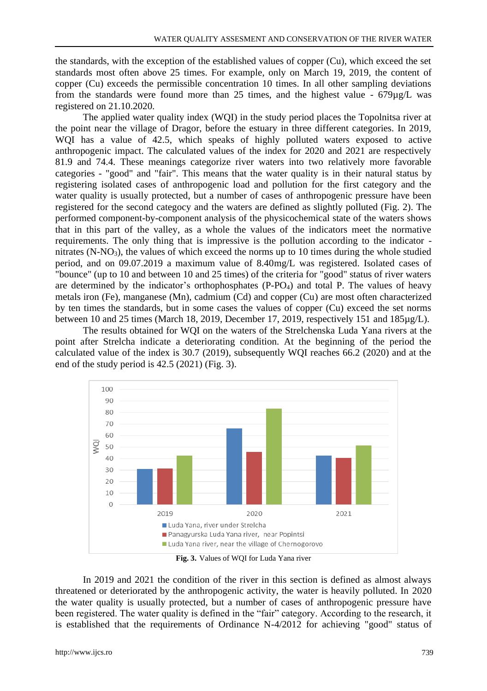the standards, with the exception of the established values of copper (Cu), which exceed the set standards most often above 25 times. For example, only on March 19, 2019, the content of copper (Cu) exceeds the permissible concentration 10 times. In all other sampling deviations from the standards were found more than 25 times, and the highest value - 679µg/L was registered on 21.10.2020.

The applied water quality index (WQI) in the study period places the Topolnitsa river at the point near the village of Dragor, before the estuary in three different categories. In 2019, WQI has a value of 42.5, which speaks of highly polluted waters exposed to active anthropogenic impact. The calculated values of the index for 2020 and 2021 are respectively 81.9 and 74.4. These meanings categorize river waters into two relatively more favorable categories - "good" and "fair". This means that the water quality is in their natural status by registering isolated cases of anthropogenic load and pollution for the first category and the water quality is usually protected, but a number of cases of anthropogenic pressure have been registered for the second categocy and the waters are defined as slightly polluted (Fig. 2). The performed component-by-component analysis of the physicochemical state of the waters shows that in this part of the valley, as a whole the values of the indicators meet the normative requirements. The only thing that is impressive is the pollution according to the indicator nitrates (N-NO3), the values of which exceed the norms up to 10 times during the whole studied period, and on 09.07.2019 a maximum value of 8.40mg/L was registered. Isolated cases of "bounce" (up to 10 and between 10 and 25 times) of the criteria for "good" status of river waters are determined by the indicator's orthophosphates (P-PO4) and total P. The values of heavy metals iron (Fe), manganese (Mn), cadmium (Cd) and copper (Cu) are most often characterized by ten times the standards, but in some cases the values of copper (Cu) exceed the set norms between 10 and 25 times (March 18, 2019, December 17, 2019, respectively 151 and 185µg/L).

The results obtained for WQI on the waters of the Strelchenska Luda Yana rivers at the point after Strelcha indicate a deteriorating condition. At the beginning of the period the calculated value of the index is 30.7 (2019), subsequently WQI reaches 66.2 (2020) and at the end of the study period is 42.5 (2021) (Fig. 3).



**Fig. 3.** Values of WQI for Luda Yana river

In 2019 and 2021 the condition of the river in this section is defined as almost always threatened or deteriorated by the anthropogenic activity, the water is heavily polluted. In 2020 the water quality is usually protected, but a number of cases of anthropogenic pressure have been registered. The water quality is defined in the "fair" category. According to the research, it is established that the requirements of Ordinance N-4/2012 for achieving "good" status of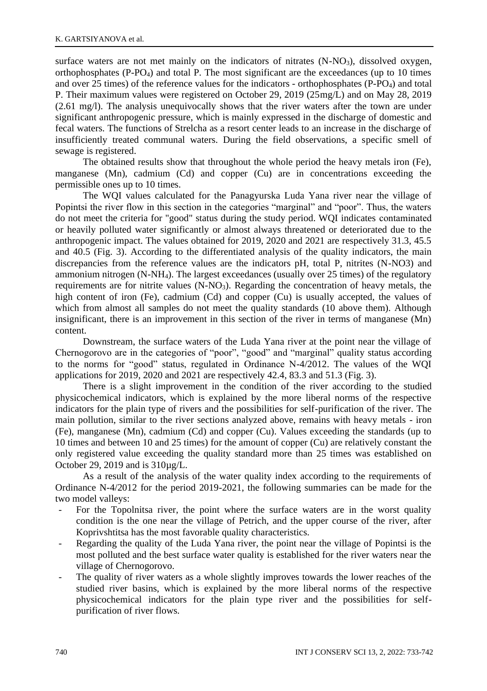surface waters are not met mainly on the indicators of nitrates  $(N-NO<sub>3</sub>)$ , dissolved oxygen, orthophosphates  $(P-PO<sub>4</sub>)$  and total P. The most significant are the exceedances (up to 10 times and over 25 times) of the reference values for the indicators - orthophosphates (P-PO4) and total P. Their maximum values were registered on October 29, 2019 (25mg/L) and on May 28, 2019 (2.61 mg/l). The analysis unequivocally shows that the river waters after the town are under significant anthropogenic pressure, which is mainly expressed in the discharge of domestic and fecal waters. The functions of Strelcha as a resort center leads to an increase in the discharge of insufficiently treated communal waters. During the field observations, a specific smell of sewage is registered.

The obtained results show that throughout the whole period the heavy metals iron (Fe), manganese (Mn), cadmium (Cd) and copper (Cu) are in concentrations exceeding the permissible ones up to 10 times.

The WQI values calculated for the Panagyurska Luda Yana river near the village of Popintsi the river flow in this section in the categories "marginal" and "poor". Thus, the waters do not meet the criteria for "good" status during the study period. WQI indicates сontaminated or heavily polluted water significantly or almost always threatened or deteriorated due to the anthropogenic impact. The values obtained for 2019, 2020 and 2021 are respectively 31.3, 45.5 and 40.5 (Fig. 3). According to the differentiated analysis of the quality indicators, the main discrepancies from the reference values are the indicators pH, total P, nitrites (N-NO3) and ammonium nitrogen (N-NH4). The largest exceedances (usually over 25 times) of the regulatory requirements are for nitrite values (N-NO3). Regarding the concentration of heavy metals, the high content of iron (Fe), cadmium (Cd) and copper (Cu) is usually accepted, the values of which from almost all samples do not meet the quality standards (10 above them). Although insignificant, there is an improvement in this section of the river in terms of manganese (Mn) content.

Downstream, the surface waters of the Luda Yana river at the point near the village of Chernogorovo are in the categories of "poor", "good" and "marginal" quality status according to the norms for "good" status, regulated in Ordinance N-4/2012. The values of the WQI applications for 2019, 2020 and 2021 are respectively 42.4, 83.3 and 51.3 (Fig. 3).

There is a slight improvement in the condition of the river according to the studied physicochemical indicators, which is explained by the more liberal norms of the respective indicators for the plain type of rivers and the possibilities for self-purification of the river. The main pollution, similar to the river sections analyzed above, remains with heavy metals - iron (Fe), manganese (Mn), cadmium (Cd) and copper (Cu). Values exceeding the standards (up to 10 times and between 10 and 25 times) for the amount of copper (Cu) are relatively constant the only registered value exceeding the quality standard more than 25 times was established on October 29, 2019 and is 310µg/L.

As a result of the analysis of the water quality index according to the requirements of Ordinance N-4/2012 for the period 2019-2021, the following summaries can be made for the two model valleys:

- For the Topolnitsa river, the point where the surface waters are in the worst quality condition is the one near the village of Petrich, and the upper course of the river, after Koprivshtitsa has the most favorable quality characteristics.
- Regarding the quality of the Luda Yana river, the point near the village of Popintsi is the most polluted and the best surface water quality is established for the river waters near the village of Chernogorovo.
- The quality of river waters as a whole slightly improves towards the lower reaches of the studied river basins, which is explained by the more liberal norms of the respective physicochemical indicators for the plain type river and the possibilities for selfpurification of river flows.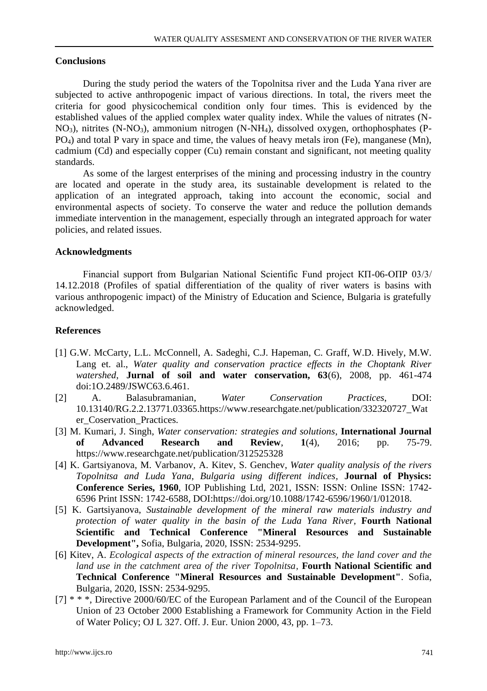### **Conclusions**

During the study period the waters of the Topolnitsa river and the Luda Yana river are subjected to active anthropogenic impact of various directions. In total, the rivers meet the criteria for good physicochemical condition only four times. This is evidenced by the established values of the applied complex water quality index. While the values of nitrates (N- $NO<sub>3</sub>$ ), nitrites (N-NO<sub>3</sub>), ammonium nitrogen (N-NH<sub>4</sub>), dissolved oxygen, orthophosphates (P-PO4) and total P vary in space and time, the values of heavy metals iron (Fe), manganese (Mn), cadmium (Cd) and especially copper (Cu) remain constant and significant, not meeting quality standards.

As some of the largest enterprises of the mining and processing industry in the country are located and operate in the study area, its sustainable development is related to the application of an integrated approach, taking into account the economic, social and environmental aspects of society. To conserve the water and reduce the pollution demands immediate intervention in the management, especially through an integrated approach for water policies, and related issues.

### **Acknowledgments**

Financial support from Bulgarian National Scientific Fund project КП-06-ОПР 03/3/ 14.12.2018 (Profiles of spatial differentiation of the quality of river waters is basins with various anthropogenic impact) of the Ministry of Education and Science, Bulgaria is gratefully acknowledged.

### **References**

- [1] G.W. McCarty, L.L. McConnell, A. Sadeghi, C.J. Hapeman, C. Graff, W.D. Hively, M.W. Lang et. al., *Water quality and conservation practice effects in the Choptank River watershed*, **Jurnal of soil and water conservation, 63**(6), 2008, pp. 461-474 doi:1O.2489/JSWC63.6.461.
- [2] A. Balasubramanian, *Water Conservation Practices*, DOI: 10.13140/RG.2.2.13771.03365.https://www.researchgate.net/publication/332320727\_Wat er Coservation Practices.
- [3] M. Kumari, J. Singh, *Water conservation: strategies and solutions*, **International Journal of Advanced Research and Review**, **1**(4), 2016; pp. 75-79. https://www.researchgate.net/publication/312525328
- [4] K. Gartsiyanova, M. Varbanov, A. Kitev, S. Genchev, *Water quality analysis of the rivers Topolnitsa and Luda Yana, Bulgaria using different indices,* **Journal of Physics: Conference Series, 1960**, IOP Publishing Ltd, 2021, ISSN: ISSN: Online ISSN: 1742- 6596 Print ISSN: 1742-6588, DOI:https://doi.org/10.1088/1742-6596/1960/1/012018.
- [5] K. Gartsiyanova, *Sustainable development of the mineral raw materials industry and protection of water quality in the basin of the Luda Yana River,* **Fourth National Scientific and Technical Conference "Mineral Resources and Sustainable Development",** Sofia, Bulgaria, 2020, ISSN: 2534-9295.
- [6] Kitev, A. *Ecological aspects of the extraction of mineral resources, the land cover and the land use in the catchment area of the river Topolnitsa,* **Fourth National Scientific and Technical Conference "Mineral Resources and Sustainable Development"**. Sofia, Bulgaria, 2020, ISSN: 2534-9295.
- [7] \* \* \*, Directive 2000/60/EC of the European Parlament and of the Council of the European Union of 23 October 2000 Establishing a Framework for Community Action in the Field of Water Policy; OJ L 327. Off. J. Eur. Union 2000, 43, pp. 1–73.